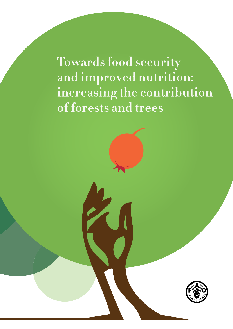**Towards food security** and improved nutrition: increasing the contribution of forests and trees

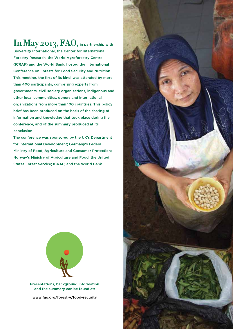# In May 2013, FAO, in partnership with

Bioversity International, the Center for International Forestry Research, the World Agroforestry Centre (ICRAF) and the World Bank, hosted the International Conference on Forests for Food Security and Nutrition. This meeting, the first of its kind, was attended by more than 400 participants, comprising experts from governments, civil-society organizations, indigenous and other local communities, donors and international organizations from more than 100 countries. This policy brief has been produced on the basis of the sharing of information and knowledge that took place during the conference, and of the summary produced at its conclusion.

The conference was sponsored by the UK's Department for International Development; Germany's Federal Ministry of Food, Agriculture and Consumer Protection; Norway's Ministry of Agriculture and Food; the United States Forest Service; ICRAF; and the World Bank.



Presentations, background information and the summary can be found at:

www.fao.org/forestry/food-security

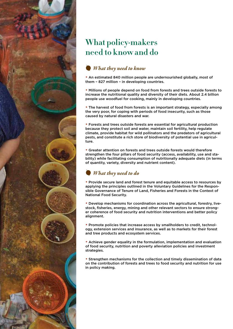

## **What policy-makers need to know and do**

## *What they need to know*

**•** An estimated 840 million people are undernourished globally, most of them – 827 million – in developing countries.

**•** Millions of people depend on food from forests and trees outside forests to increase the nutritional quality and diversity of their diets. About 2.4 billion people use woodfuel for cooking, mainly in developing countries.

**•** The harvest of food from forests is an important strategy, especially among the very poor, for coping with periods of food insecurity, such as those caused by natural disasters and war.

**•** Forests and trees outside forests are essential for agricultural production because they protect soil and water, maintain soil fertility, help regulate climate, provide habitat for wild pollinators and the predators of agricultural pests, and constitute a rich store of biodiversity of potential use in agriculture.

**•** Greater attention on forests and trees outside forests would therefore strengthen the four pillars of food security (access, availability, use and stability) while facilitating consumption of nutritionally adequate diets (in terms of quantity, variety, diversity and nutrient content).

## *What they need to do*

**•** Provide secure land and forest tenure and equitable access to resources by applying the principles outlined in the Voluntary Guidelines for the Responsible Governance of Tenure of Land, Fisheries and Forests in the Context of National Food Security.

**•** Develop mechanisms for coordination across the agricultural, forestry, livestock, fisheries, energy, mining and other relevant sectors to ensure stronger coherence of food security and nutrition interventions and better policy alignment.

**•** Promote policies that increase access by smallholders to credit, technology, extension services and insurance, as well as to markets for their forest and tree products and ecosystem services.

**•** Achieve gender equality in the formulation, implementation and evaluation of food security, nutrition and poverty alleviation policies and investment strategies.

**•** Strengthen mechanisms for the collection and timely dissemination of data on the contribution of forests and trees to food security and nutrition for use in policy making.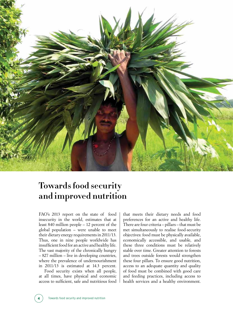

# **Towards food security and improved nutrition**

FAO's 2013 report on the state of food insecurity in the world, estimates that at least 840 million people – 12 percent of the global population – were unable to meet their dietary energy requirements in 2011/13. Thus, one in nine people worldwide has insufficient food for an active and healthy life. The vast majority of the chronically hungry – 827 million – live in developing countries, where the prevalence of undernourishment in 2011/13 is estimated at 14.3 percent.

Food security exists when all people, at all times, have physical and economic access to sufficient, safe and nutritious food that meets their dietary needs and food preferences for an active and healthy life. There are four criteria – pillars – that must be met simultaneously to realise food-security objectives: food must be physically available, economically accessible, and usable, and these three conditions must be relatively stable over time. Greater attention to forests and trees outside forests would strengthen these four pillars. To ensure good nutrition, access to an adequate quantity and quality of food must be combined with good care and feeding practices, including access to health services and a healthy environment.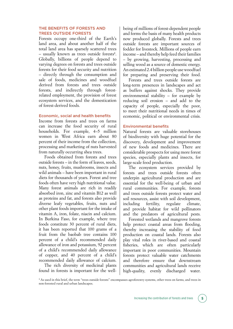#### The benefits of forests and trees outside forests

Forests occupy one-third of the Earth's land area, and about another half of the total land area has sparsely scattered trees – usually known as trees outside forests**<sup>1</sup>** . Globally, billions of people depend to varying degrees on forests and trees outside forests for their food security and nutrition – directly through the consumption and sale of foods, medicines and woodfuel derived from forests and trees outside forests, and indirectly through forestrelated employment, the provision of forest ecosystem services, and the domestication of forest-derived foods.

#### Economic, social and health benefits

Income from forests and trees on farms can increase the food security of rural households. For example, 4–5 million women in West Africa earn about 80 percent of their income from the collection, processing and marketing of nuts harvested from naturally occurring shea trees.

Foods obtained from forests and trees outside forests – in the form of leaves, seeds, nuts, honey, fruits, mushrooms, insects and wild animals – have been important in rural diets for thousands of years. Forest and tree foods often have very high nutritional value. Many forest animals are rich in readily absorbed iron, zinc and vitamin B12 as well as proteins and fat, and forests also provide diverse leafy vegetables, fruits, nuts and other plant foods important for the intake of vitamin A, iron, folate, niacin and calcium. In Burkina Faso, for example, where tree foods constitute 30 percent of rural diets, it has been reported that 100 grams of a fruit from the baobab tree contains 100 percent of a child's recommended daily allowance of iron and potassium, 92 percent of a child's recommended daily allowance of copper, and 40 percent of a child's recommended daily allowance of calcium.

The rich diversity of medicinal plants found in forests is important for the wellbeing of millions of forest-dependent people and forms the basis of many health products now produced globally. Forests and trees outside forests are important sources of fodder for livestock. Millions of people earn income – and thereby help feed their families – by growing, harvesting, processing and selling wood as a source of domestic energy. An estimated 2.4 billion people use woodfuel for preparing and preserving their food.

Forests and trees outside forests are long-term presences in landscapes and act as buffers against shocks. They provide environmental stability – for example by reducing soil erosion – and add to the capacity of people, especially the poor, to meet their nutritional needs in times of economic, political or environmental crisis.

#### Environmental benefits

Natural forests are valuable storehouses of biodiversity with huge potential for the discovery, development and improvement of new foods and medicines. There are considerable prospects for using more forest species, especially plants and insects, for large-scale food production.

The ecosystem services provided by forests and trees outside forests often underpin agricultural production and are essential for the well-being of urban and rural communities. For example, forests and trees outside forests protect water and soil resources, assist with soil development, including fertility, regulate climate, and provide habitat for wild pollinators and the predators of agricultural pests.

Forested wetlands and mangrove forests help protect coastal areas from flooding, thereby increasing the stability of food production on coastal lands. Forests also play vital roles in river-based and coastal fisheries, which are often particularly important in poor communities. Mountain forests protect valuable water catchments and therefore ensure that downstream communities and agricultural lands receive high-quality, evenly discharged water.

**<sup>1</sup>** As used in this brief, the term "trees outside forests" encompasses agroforestry systems, other trees on farms, and trees in non-forested rural and urban landscapes.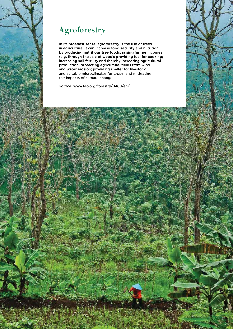

**6 Towards food security and improved nutrition in the security and improved in the security and improved in the security and improved in the security and improved in the security and improved in the security and improved** 

In its broadest sense, agroforestry is the use of trees in agriculture. It can increase food security and nutrition by producing nutritious tree foods; raising farmer incomes (e.g. through the sale of wood); providing fuel for cooking; increasing soil fertility and thereby increasing agricultural production; protecting agricultural fields from wind and water erosion; providing shelter for livestock and suitable microclimates for crops; and mitigating the impacts of climate change.

*Source:* www.fao.org/forestry/9469/en/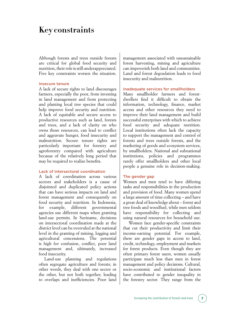## **Key constraints**

Although forests and trees outside forests are critical for global food security and nutrition, their role is still underappreciated. Five key constraints worsen the situation.

#### Insecure tenure

A lack of secure rights to land discourages farmers, especially the poor, from investing in land management and from protecting and planting local tree species that could help improve food security and nutrition. A lack of equitable and secure access to productive resources such as land, forests and trees, and a lack of clarity on who owns those resources, can lead to conflict and aggravate hunger, food insecurity and malnutrition. Secure tenure rights are particularly important for forestry and agroforestry compared with agriculture because of the relatively long period that may be required to realize benefits.

#### Lack of intersectoral coordination

A lack of coordination across various sectors and stakeholders is a cause of disjointed and duplicated policy actions that can have serious impacts on land and forest management and consequently on food security and nutrition. In Indonesia, for example, different governmental agencies use different maps when granting land-use permits. In Suriname, decisions on intersectoral coordination made at the district level can be overruled at the national level in the granting of mining, logging and agricultural concessions. The potential is high for confusion, conflict, poor land management and, ultimately, increased food insecurity.

Land-use planning and regulations often segregate agriculture and forests; in other words, they deal with one sector or the other, but not both together, leading to overlaps and inefficiencies. Poor land

management associated with unsustainable forest harvesting, mining and agriculture can impoverish both land and communities. Land and forest degradation leads to food insecurity and malnutrition.

#### Inadequate services for smallholders

Many smallholder farmers and forestdwellers find it difficult to obtain the information, technology, finance, market access and other resources they need to improve their land management and build successful enterprises with which to achieve food security and adequate nutrition. Local institutions often lack the capacity to support the management and control of forests and trees outside forests, and the marketing of goods and ecosystem services, by smallholders. National and subnational institutions, policies and programmes rarely offer smallholders and other local people a genuine role in decision-making.

#### The gender gap

Women and men tend to have differing tasks and responsibilities in the production and provision of food. Many women spend a large amount of time collecting – and have a great deal of knowledge about – forest and tree foods and woodfuel, while men seldom have responsibility for collecting and using natural resources for household use.

Women face gender-specific constraints that cut their productivity and limit their income-earning potential. For example, there are gender gaps in access to land, credit, technology, employment and markets for forest products. Even though they are often primary forest users, women usually participate much less than men in forest management and policy decisions. Cultural, socio-economic and institutional factors have contributed to gender inequality in the forestry sector. They range from the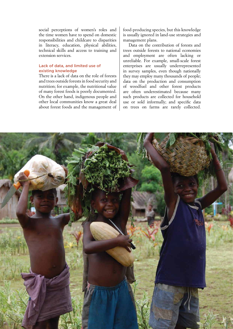social perceptions of women's roles and the time women have to spend on domestic responsibilities and childcare to disparities in literacy, education, physical abilities, technical skills and access to training and extension services.

#### Lack of data, and limited use of existing knowledge

There is a lack of data on the role of forests and trees outside forests in food security and nutrition; for example, the nutritional value of many forest foods is poorly documented. On the other hand, indigenous people and other local communities know a great deal about forest foods and the management of food-producing species, but this knowledge is usually ignored in land-use strategies and management plans.

Data on the contribution of forests and trees outside forests to national economies and employment are often lacking or unreliable. For example, small-scale forest enterprises are usually underrepresented in survey samples, even though nationally they may employ many thousands of people; data on the production and consumption of woodfuel and other forest products are often underestimated because many such products are collected for household use or sold informally; and specific data on trees on farms are rarely collected.

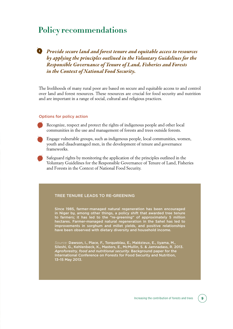## **Policy recommendations**

Provide secure land and forest tenure and equitable access to resources *by applying the principles outlined in the Voluntary Guidelines for the Responsible Governance of Tenure of Land, Fisheries and Forests in the Context of National Food Security.*

The livelihoods of many rural poor are based on secure and equitable access to and control over land and forest resources. These resources are crucial for food security and nutrition and are important in a range of social, cultural and religious practices.

#### Options for policy action

Recognize, respect and protect the rights of indigenous people and other local communities in the use and management of forests and trees outside forests.

Engage vulnerable groups, such as indigenous people, local communities, women, youth and disadvantaged men, in the development of tenure and governance frameworks.

Safeguard rights by monitoring the application of the principles outlined in the Voluntary Guidelines for the Responsible Governance of Tenure of Land, Fisheries and Forests in the Context of National Food Security.

#### Tree tenure leads to re-greening

Since 1985, farmer-managed natural regeneration has been encouraged in Niger by, among other things, a policy shift that awarded tree tenure to farmers; it has led to the "re-greening" of approximately 5 million hectares. Farmer-managed natural regeneration in the Sahel has led to improvements in sorghum and millet yields, and positive relationships have been observed with dietary diversity and household income.

*Source:* Dawson, I., Place, F., Torqueblau, E., Malézieux, E., Iiyama, M., Sileshi, G., Kehlenbeck, K., Masters, E., McMullin, S. & Jamnadass, R. 2013. *Agroforestry, food and nutritional security.* Background paper for the International Conference on Forests for Food Security and Nutrition, 13–15 May 2013.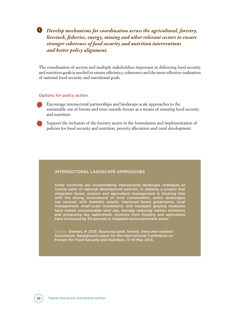

The coordination of sectors and multiple stakeholders important in delivering food security and nutrition goals is needed to ensure efficiency, coherence and the more effective realization of national food-security and nutritional goals.

#### Options for policy action

Encourage intersectoral partnerships and landscape-scale approaches to the sustainable use of forests and trees outside forests as a means of ensuring food security and nutrition.

Support the inclusion of the forestry sector in the formulation and implementation of policies for food security and nutrition, poverty alleviation and rural development.

#### Intersectoral landscape approaches

Some countries are incorporating intersectoral landscape strategies as central parts of national development policies. In Albania, a project that integrates forest, pasture and agriculture management is showing that with the strong involvement of local communities, entire landscapes can recover, with dramatic results. Improved forest governance, local management, small-scale investments and managed grazing measures have halted unsustainable land use, thereby reducing carbon emissions and protecting key watersheds. Incomes from forestry and agriculture have increased by 50 percent in targeted microcatchment areas.

*Source:* Dewees, P. 2013. *Bouncing back: forests, trees and resilient households.* Background paper for the International Conference on Forests for Food Security and Nutrition, 13–15 May 2013.

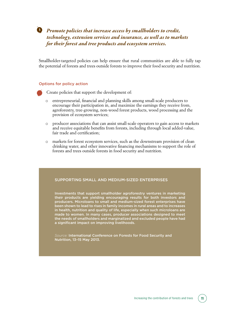### <sup>3</sup> Promote policies that increase access by smallholders to credit, *technology, extension services and insurance, as well as to markets for their forest and tree products and ecosystem services.*

Smallholder-targeted policies can help ensure that rural communities are able to fully tap the potential of forests and trees outside forests to improve their food security and nutrition.

#### Options for policy action

Create policies that support the development of:

- o entrepreneurial, financial and planning skills among small‐scale producers to encourage their participation in, and maximize the earnings they receive from, agroforestry, tree‐growing, non-wood forest products, wood processing and the provision of ecosystem services;
- o producer associations that can assist small-scale operators to gain access to markets and receive equitable benefits from forests, including through local added-value, fair trade and certification;
- o markets for forest ecosystem services, such as the downstream provision of clean drinking water, and other innovative financing mechanisms to support the role of forests and trees outside forests in food security and nutrition.

#### Supporting small and medium-sized enterprises

Investments that support smallholder agroforestry ventures in marketing their products are yielding encouraging results for both investors and producers. Microloans to small and medium-sized forest enterprises have been shown to lead to rises in family incomes in rural areas and to increases in health, nutrition and quality of life, especially when such microloans are made to women. In many cases, producer associations designed to meet the needs of smallholders and marginalized and excluded people have had a significant impact on improving livelihoods.

*Source:* International Conference on Forests for Food Security and Nutrition, 13–15 May 2013.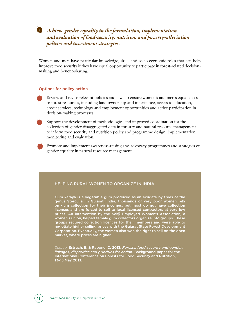### *Achieve gender equality in the formulation, implementation*  4 *and evaluation of food-security, nutrition and poverty-alleviation policies and investment strategies.*

Women and men have particular knowledge, skills and socio-economic roles that can help improve food security if they have equal opportunity to participate in forest-related decisionmaking and benefit-sharing.

#### Options for policy action

Review and revise relevant policies and laws to ensure women's and men's equal access to forest resources, including land ownership and inheritance, access to education, credit services, technology and employment opportunities and active participation in decision-making processes.

Support the development of methodologies and improved coordination for the collection of gender-disaggregated data in forestry and natural resource management to inform food security and nutrition policy and programme design, implementation, monitoring and evaluation.

Promote and implement awareness-raising and advocacy programmes and strategies on gender equality in natural resource management.

#### Helping rural women to organize in India

Gum karaya is a vegetable gum produced as an exudate by trees of the genus Sterculia. In Gujarat, India, thousands of very poor women rely on gum collection for their incomes, but most do not have collection licences and are forced to sell to local licensed contractors at very low prices. An intervention by the Self Employed Women's Association, a women's union, helped female gum collectors organize into groups. These groups secured collection licences for their members and were able to negotiate higher selling prices with the Gujarat State Forest Development Corporation. Eventually, the women also won the right to sell on the open market, where prices are higher.

*Source:* Estruch, E. & Rapone, C. 2013. *Forests, food security and gender: linkages, disparities and priorities for action.* Background paper for the International Conference on Forests for Food Security and Nutrition, 13–15 May 2013.

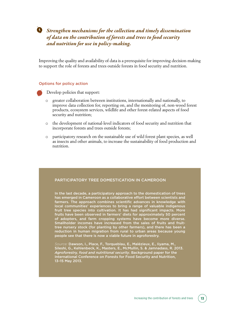### *Strengthen mechanisms for the collection and timely dissemination*  5 *of data on the contribution of forests and trees to food security and nutrition for use in policy-making.*

Improving the quality and availability of data is a prerequisite for improving decision-making to support the role of forests and trees outside forests in food security and nutrition.

#### Options for policy action

Develop policies that support:

- o greater collaboration between institutions, internationally and nationally, to improve data collection for, reporting on, and the monitoring of, non-wood forest products, ecosystem services, wildlife and other forest-related aspects of food security and nutrition;
- o the development of national-level indicators of food security and nutrition that incorporate forests and trees outside forests;
- o participatory research on the sustainable use of wild forest plant species, as well as insects and other animals, to increase the sustainability of food production and nutrition.

#### Participatory tree domestication in Cameroon

In the last decade, a participatory approach to the domestication of trees has emerged in Cameroon as a collaborative effort between scientists and farmers. The approach combines scientific advances in knowledge with local communities' experiences to bring a range of valuable indigenous fruit tree species into cultivation. It has had significant impacts. More fruits have been observed in farmers' diets for approximately 50 percent of adopters, and farm cropping systems have become more diverse. Smallholder incomes have increased from the sales of fruits and fruittree nursery stock (for planting by other farmers), and there has been a reduction in human migration from rural to urban areas because young people see that there is now a viable future in agroforestry.

*Source:* Dawson, I., Place, F., Torqueblau, E., Malézieux, E., Iiyama, M., Sileshi, G., Kehlenbeck, K., Masters, E., McMullin, S. & Jamnadass, R. 2013. *Agroforestry, food and nutritional security*. Background paper for the International Conference on Forests for Food Security and Nutrition, 13–15 May 2013.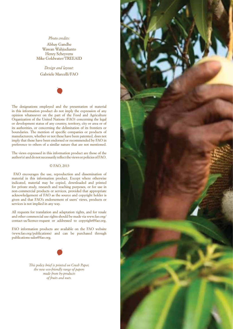*Photo credits:* Abhay Gandhe Wawan Wahjudianto Henry Scheyvens Mike Goldwater/TREEAID

*Design and layout:* Gabriele Marcelli/FAO



The designations employed and the presentation of material in this information product do not imply the expression of any opinion whatsoever on the part of the Food and Agriculture Organization of the United Nations (FAO) concerning the legal or development status of any country, territory, city or area or of its authorities, or concerning the delimitation of its frontiers or boundaries. The mention of specific companies or products of manufacturers, whether or not these have been patented, does not imply that these have been endorsed or recommended by FAO in preference to others of a similar nature that are not mentioned.

The views expressed in this information product are those of the author(s) and do not necessarily reflect the views or policies of FAO.

#### © FAO, 2013

 FAO encourages the use, reproduction and dissemination of material in this information product. Except where otherwise indicated, material may be copied, downloaded and printed for private study, research and teaching purposes, or for use in non-commercial products or services, provided that appropriate acknowledgement of FAO as the source and copyright holder is given and that FAO's endorsement of users' views, products or services is not implied in any way.

All requests for translation and adaptation rights, and for resale and other commercial use rights should be made via www.fao.org/ contact-us/licence-request or addressed to copyright@fao.org.

FAO information products are available on the FAO website (www.fao.org/publications) and can be purchased through publications-sales@fao.org.



*This policy brief is printed on Crush Paper, the new eco-friendly range of papers made from by-products of fruits and nuts.* 

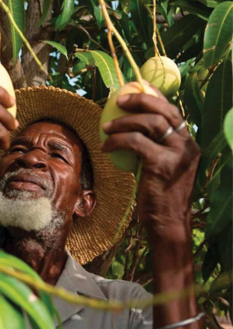